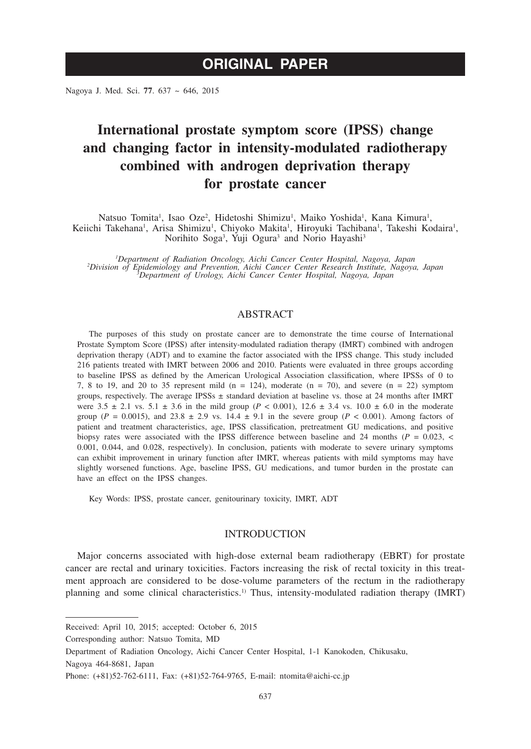Nagoya J. Med. Sci. **77**. 637 ~ 646, 2015

# **International prostate symptom score (IPSS) change and changing factor in intensity-modulated radiotherapy combined with androgen deprivation therapy for prostate cancer**

Natsuo Tomita<sup>1</sup>, Isao Oze<sup>2</sup>, Hidetoshi Shimizu<sup>1</sup>, Maiko Yoshida<sup>1</sup>, Kana Kimura<sup>1</sup>, Keiichi Takehana<sup>1</sup>, Arisa Shimizu<sup>1</sup>, Chiyoko Makita<sup>1</sup>, Hiroyuki Tachibana<sup>1</sup>, Takeshi Kodaira<sup>1</sup>, Norihito Soga<sup>3</sup>, Yuji Ogura<sup>3</sup> and Norio Hayashi<sup>3</sup>

*1 Department of Radiation Oncology, Aichi Cancer Center Hospital, Nagoya, Japan <sup>2</sup> Division of Epidemiology and Prevention, Aichi Cancer Center Research Institute, Nagoya, Japan <sup>3</sup> Department of Urology, Aichi Cancer Center Hospital, Nagoya, Japan*

# ABSTRACT

The purposes of this study on prostate cancer are to demonstrate the time course of International Prostate Symptom Score (IPSS) after intensity-modulated radiation therapy (IMRT) combined with androgen deprivation therapy (ADT) and to examine the factor associated with the IPSS change. This study included 216 patients treated with IMRT between 2006 and 2010. Patients were evaluated in three groups according to baseline IPSS as defined by the American Urological Association classification, where IPSSs of 0 to 7, 8 to 19, and 20 to 35 represent mild  $(n = 124)$ , moderate  $(n = 70)$ , and severe  $(n = 22)$  symptom groups, respectively. The average IPSSs  $\pm$  standard deviation at baseline vs. those at 24 months after IMRT were  $3.5 \pm 2.1$  vs.  $5.1 \pm 3.6$  in the mild group (*P* < 0.001),  $12.6 \pm 3.4$  vs.  $10.0 \pm 6.0$  in the moderate group ( $P = 0.0015$ ), and 23.8  $\pm$  2.9 vs. 14.4  $\pm$  9.1 in the severe group ( $P < 0.001$ ). Among factors of patient and treatment characteristics, age, IPSS classification, pretreatment GU medications, and positive biopsy rates were associated with the IPSS difference between baseline and 24 months ( $P = 0.023$ ,  $\lt$ 0.001, 0.044, and 0.028, respectively). In conclusion, patients with moderate to severe urinary symptoms can exhibit improvement in urinary function after IMRT, whereas patients with mild symptoms may have slightly worsened functions. Age, baseline IPSS, GU medications, and tumor burden in the prostate can have an effect on the IPSS changes.

Key Words: IPSS, prostate cancer, genitourinary toxicity, IMRT, ADT

# INTRODUCTION

Major concerns associated with high-dose external beam radiotherapy (EBRT) for prostate cancer are rectal and urinary toxicities. Factors increasing the risk of rectal toxicity in this treatment approach are considered to be dose-volume parameters of the rectum in the radiotherapy planning and some clinical characteristics.1) Thus, intensity-modulated radiation therapy (IMRT)

Corresponding author: Natsuo Tomita, MD

Nagoya 464-8681, Japan

Received: April 10, 2015; accepted: October 6, 2015

Department of Radiation Oncology, Aichi Cancer Center Hospital, 1-1 Kanokoden, Chikusaku,

Phone: (+81)52-762-6111, Fax: (+81)52-764-9765, E-mail: ntomita@aichi-cc.jp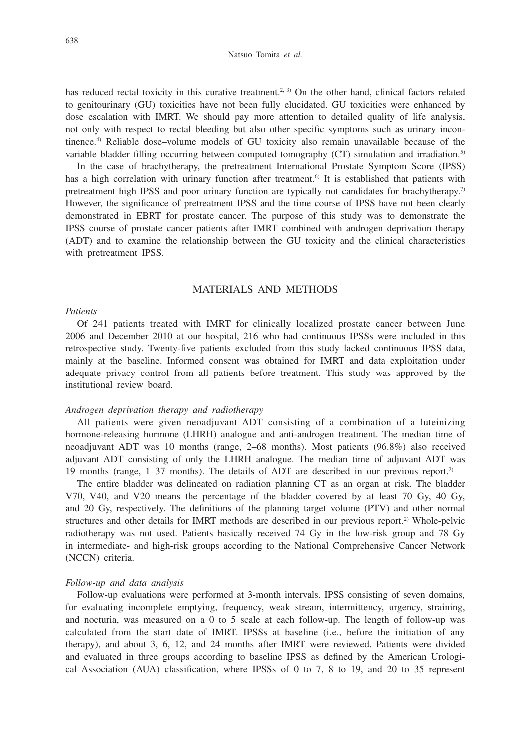has reduced rectal toxicity in this curative treatment.<sup>2, 3)</sup> On the other hand, clinical factors related to genitourinary (GU) toxicities have not been fully elucidated. GU toxicities were enhanced by dose escalation with IMRT. We should pay more attention to detailed quality of life analysis, not only with respect to rectal bleeding but also other specific symptoms such as urinary incontinence.4) Reliable dose–volume models of GU toxicity also remain unavailable because of the variable bladder filling occurring between computed tomography (CT) simulation and irradiation.<sup>5)</sup>

In the case of brachytherapy, the pretreatment International Prostate Symptom Score (IPSS) has a high correlation with urinary function after treatment.<sup>6)</sup> It is established that patients with pretreatment high IPSS and poor urinary function are typically not candidates for brachytherapy.<sup>7)</sup> However, the significance of pretreatment IPSS and the time course of IPSS have not been clearly demonstrated in EBRT for prostate cancer. The purpose of this study was to demonstrate the IPSS course of prostate cancer patients after IMRT combined with androgen deprivation therapy (ADT) and to examine the relationship between the GU toxicity and the clinical characteristics with pretreatment IPSS.

# MATERIALS AND METHODS

#### *Patients*

Of 241 patients treated with IMRT for clinically localized prostate cancer between June 2006 and December 2010 at our hospital, 216 who had continuous IPSSs were included in this retrospective study. Twenty-five patients excluded from this study lacked continuous IPSS data, mainly at the baseline. Informed consent was obtained for IMRT and data exploitation under adequate privacy control from all patients before treatment. This study was approved by the institutional review board.

## *Androgen deprivation therapy and radiotherapy*

All patients were given neoadjuvant ADT consisting of a combination of a luteinizing hormone-releasing hormone (LHRH) analogue and anti-androgen treatment. The median time of neoadjuvant ADT was 10 months (range, 2–68 months). Most patients (96.8%) also received adjuvant ADT consisting of only the LHRH analogue. The median time of adjuvant ADT was 19 months (range,  $1-37$  months). The details of ADT are described in our previous report.<sup>2)</sup>

The entire bladder was delineated on radiation planning CT as an organ at risk. The bladder V70, V40, and V20 means the percentage of the bladder covered by at least 70 Gy, 40 Gy, and 20 Gy, respectively. The definitions of the planning target volume (PTV) and other normal structures and other details for IMRT methods are described in our previous report.<sup>2)</sup> Whole-pelvic radiotherapy was not used. Patients basically received 74 Gy in the low-risk group and 78 Gy in intermediate- and high-risk groups according to the National Comprehensive Cancer Network (NCCN) criteria.

## *Follow-up and data analysis*

Follow-up evaluations were performed at 3-month intervals. IPSS consisting of seven domains, for evaluating incomplete emptying, frequency, weak stream, intermittency, urgency, straining, and nocturia, was measured on a 0 to 5 scale at each follow-up. The length of follow-up was calculated from the start date of IMRT. IPSSs at baseline (i.e., before the initiation of any therapy), and about 3, 6, 12, and 24 months after IMRT were reviewed. Patients were divided and evaluated in three groups according to baseline IPSS as defined by the American Urological Association (AUA) classification, where IPSSs of 0 to 7, 8 to 19, and 20 to 35 represent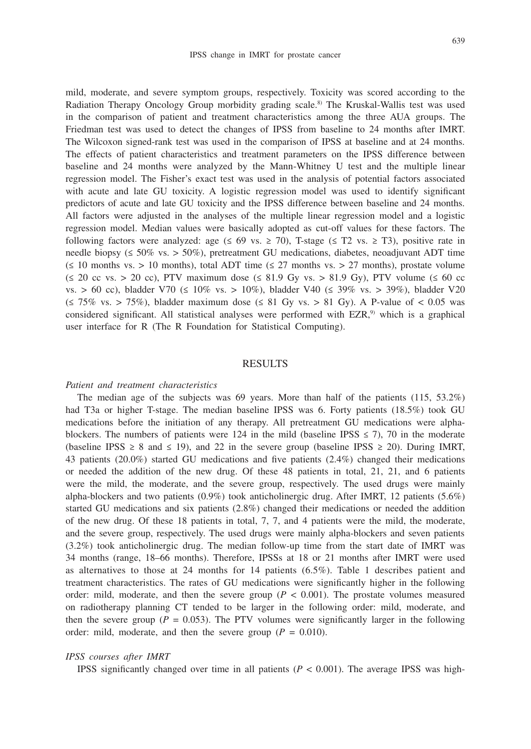mild, moderate, and severe symptom groups, respectively. Toxicity was scored according to the Radiation Therapy Oncology Group morbidity grading scale.<sup>8)</sup> The Kruskal-Wallis test was used in the comparison of patient and treatment characteristics among the three AUA groups. The Friedman test was used to detect the changes of IPSS from baseline to 24 months after IMRT. The Wilcoxon signed-rank test was used in the comparison of IPSS at baseline and at 24 months. The effects of patient characteristics and treatment parameters on the IPSS difference between baseline and 24 months were analyzed by the Mann-Whitney U test and the multiple linear regression model. The Fisher's exact test was used in the analysis of potential factors associated with acute and late GU toxicity. A logistic regression model was used to identify significant predictors of acute and late GU toxicity and the IPSS difference between baseline and 24 months. All factors were adjusted in the analyses of the multiple linear regression model and a logistic regression model. Median values were basically adopted as cut-off values for these factors. The following factors were analyzed: age  $(≤ 69$  vs.  $≥ 70$ ), T-stage  $(≤ T2$  vs.  $≥ T3)$ , positive rate in needle biopsy ( $\leq 50\%$  vs.  $> 50\%$ ), pretreatment GU medications, diabetes, neoadjuvant ADT time  $(\leq 10$  months vs. > 10 months), total ADT time  $(\leq 27$  months vs. > 27 months), prostate volume  $(\leq 20 \text{ cc vs.} > 20 \text{ cc})$ , PTV maximum dose  $(\leq 81.9 \text{ Gy vs.} > 81.9 \text{ Gy})$ , PTV volume  $(\leq 60 \text{ cc})$ vs. > 60 cc), bladder V70 (≤ 10% vs. > 10%), bladder V40 (≤ 39% vs. > 39%), bladder V20  $(\leq 75\% \text{ vs.} > 75\%)$ , bladder maximum dose  $(\leq 81 \text{ Gy vs.} > 81 \text{ Gy})$ . A P-value of  $< 0.05$  was considered significant. All statistical analyses were performed with  $EZR$ ,<sup>9)</sup> which is a graphical user interface for R (The R Foundation for Statistical Computing).

# **RESULTS**

## *Patient and treatment characteristics*

The median age of the subjects was 69 years. More than half of the patients (115, 53.2%) had T3a or higher T-stage. The median baseline IPSS was 6. Forty patients (18.5%) took GU medications before the initiation of any therapy. All pretreatment GU medications were alphablockers. The numbers of patients were 124 in the mild (baseline IPSS  $\leq$  7), 70 in the moderate (baseline IPSS  $\geq$  8 and  $\leq$  19), and 22 in the severe group (baseline IPSS  $\geq$  20). During IMRT, 43 patients (20.0%) started GU medications and five patients (2.4%) changed their medications or needed the addition of the new drug. Of these 48 patients in total, 21, 21, and 6 patients were the mild, the moderate, and the severe group, respectively. The used drugs were mainly alpha-blockers and two patients  $(0.9\%)$  took anticholinergic drug. After IMRT, 12 patients (5.6%) started GU medications and six patients (2.8%) changed their medications or needed the addition of the new drug. Of these 18 patients in total, 7, 7, and 4 patients were the mild, the moderate, and the severe group, respectively. The used drugs were mainly alpha-blockers and seven patients (3.2%) took anticholinergic drug. The median follow-up time from the start date of IMRT was 34 months (range, 18–66 months). Therefore, IPSSs at 18 or 21 months after IMRT were used as alternatives to those at 24 months for 14 patients (6.5%). Table 1 describes patient and treatment characteristics. The rates of GU medications were significantly higher in the following order: mild, moderate, and then the severe group  $(P < 0.001)$ . The prostate volumes measured on radiotherapy planning CT tended to be larger in the following order: mild, moderate, and then the severe group ( $P = 0.053$ ). The PTV volumes were significantly larger in the following order: mild, moderate, and then the severe group ( $P = 0.010$ ).

#### *IPSS courses after IMRT*

IPSS significantly changed over time in all patients  $(P < 0.001)$ . The average IPSS was high-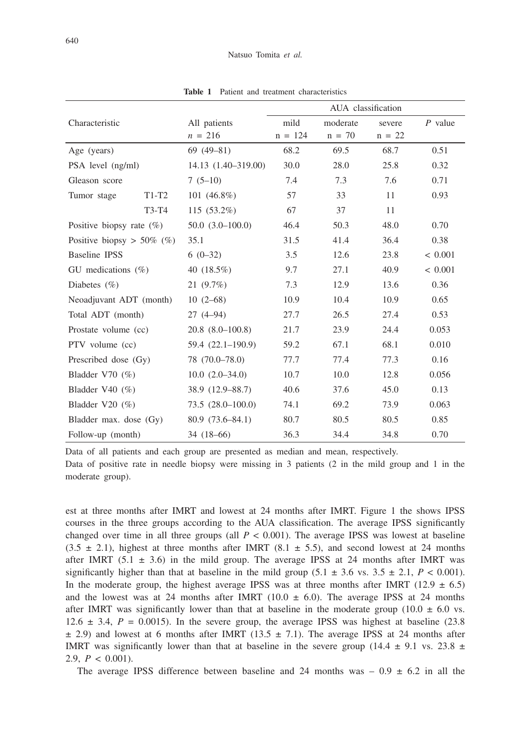|                              |       |                      | AUA classification |              |          |             |  |
|------------------------------|-------|----------------------|--------------------|--------------|----------|-------------|--|
| Characteristic               |       | All patients         | mild               | moderate     | severe   | $P$ value   |  |
|                              |       | $n = 216$            | $n = 124$          | $n = 70$     | $n = 22$ |             |  |
| Age (years)                  |       | $69(49-81)$          | 68.2               | 69.5         | 68.7     | 0.51        |  |
| PSA level (ng/ml)            |       | 14.13 (1.40-319.00)  | 30.0               | 28.0         | 25.8     | 0.32        |  |
| Gleason score                |       | $7(5-10)$            | 7.4                | 7.3          | 7.6      | 0.71        |  |
| Tumor stage<br>$T1-T2$       |       | 101 $(46.8\%)$       | 57                 | 33           | 11       | 0.93        |  |
|                              | T3-T4 | $115(53.2\%)$        | 67                 | 37           | 11       |             |  |
| Positive biopsy rate $(\%)$  |       | $50.0(3.0-100.0)$    | 46.4               | 50.3         | 48.0     | 0.70        |  |
| Positive biopsy $> 50\%$ (%) |       | 35.1                 | 31.5               | 41.4         |          | 0.38        |  |
| <b>Baseline IPSS</b>         |       | $6(0-32)$            | 3.5                | 12.6         | 23.8     | < 0.001     |  |
| GU medications $(\%)$        |       | 40 $(18.5\%)$        | 9.7                | 27.1         | 40.9     | ${}< 0.001$ |  |
| Diabetes $(\% )$             |       | $21(9.7\%)$          | 7.3                | 12.9         | 13.6     | 0.36        |  |
| Neoadjuvant ADT (month)      |       | $10(2-68)$           | 10.9               | 10.4         | 10.9     | 0.65        |  |
| Total ADT (month)            |       | $27(4-94)$           | 27.7               | 26.5         | 27.4     | 0.53        |  |
| Prostate volume (cc)         |       | $20.8(8.0-100.8)$    | 21.7               | 23.9         | 24.4     | 0.053       |  |
| PTV volume (cc)              |       | $59.4(22.1-190.9)$   | 59.2               | 67.1         | 68.1     | 0.010       |  |
| Prescribed dose (Gy)         |       | 78 (70.0–78.0)       | 77.7               | 77.4         | 77.3     | 0.16        |  |
| Bladder V70 $(\%)$           |       | $10.0(2.0-34.0)$     | 10.7               | 10.0<br>12.8 |          | 0.056       |  |
| Bladder V40 $(\% )$          |       | 38.9 (12.9-88.7)     | 40.6               | 37.6         | 45.0     | 0.13        |  |
| Bladder V20 $(\% )$          |       | $73.5(28.0 - 100.0)$ | 74.1               | 69.2         | 73.9     | 0.063       |  |
| Bladder max. dose (Gy)       |       | $80.9(73.6 - 84.1)$  | 80.7               | 80.5         | 80.5     | 0.85        |  |
| Follow-up (month)            |       | $34(18-66)$          | 36.3               | 34.4         | 34.8     | 0.70        |  |

**Table 1** Patient and treatment characteristics

Data of all patients and each group are presented as median and mean, respectively. Data of positive rate in needle biopsy were missing in 3 patients (2 in the mild group and 1 in the moderate group).

est at three months after IMRT and lowest at 24 months after IMRT. Figure 1 the shows IPSS courses in the three groups according to the AUA classification. The average IPSS significantly changed over time in all three groups (all  $P < 0.001$ ). The average IPSS was lowest at baseline  $(3.5 \pm 2.1)$ , highest at three months after IMRT  $(8.1 \pm 5.5)$ , and second lowest at 24 months after IMRT (5.1  $\pm$  3.6) in the mild group. The average IPSS at 24 months after IMRT was significantly higher than that at baseline in the mild group  $(5.1 \pm 3.6 \text{ vs. } 3.5 \pm 2.1, P < 0.001)$ . In the moderate group, the highest average IPSS was at three months after IMRT (12.9  $\pm$  6.5) and the lowest was at 24 months after IMRT (10.0  $\pm$  6.0). The average IPSS at 24 months after IMRT was significantly lower than that at baseline in the moderate group (10.0  $\pm$  6.0 vs. 12.6  $\pm$  3.4,  $P = 0.0015$ ). In the severe group, the average IPSS was highest at baseline (23.8)  $\pm$  2.9) and lowest at 6 months after IMRT (13.5  $\pm$  7.1). The average IPSS at 24 months after IMRT was significantly lower than that at baseline in the severe group (14.4  $\pm$  9.1 vs. 23.8  $\pm$ 2.9,  $P < 0.001$ ).

The average IPSS difference between baseline and 24 months was  $-0.9 \pm 6.2$  in all the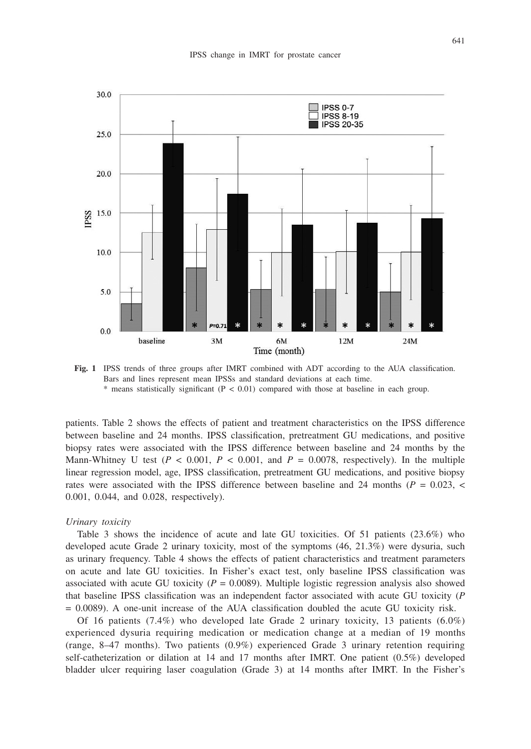

**Fig. 1** IPSS trends of three groups after IMRT combined with ADT according to the AUA classification. Bars and lines represent mean IPSSs and standard deviations at each time.  $*$  means statistically significant ( $P < 0.01$ ) compared with those at baseline in each group.

patients. Table 2 shows the effects of patient and treatment characteristics on the IPSS difference between baseline and 24 months. IPSS classification, pretreatment GU medications, and positive biopsy rates were associated with the IPSS difference between baseline and 24 months by the Mann-Whitney U test  $(P < 0.001, P < 0.001,$  and  $P = 0.0078$ , respectively). In the multiple linear regression model, age, IPSS classification, pretreatment GU medications, and positive biopsy rates were associated with the IPSS difference between baseline and 24 months ( $P = 0.023$ , < 0.001, 0.044, and 0.028, respectively).

#### *Urinary toxicity*

Table 3 shows the incidence of acute and late GU toxicities. Of 51 patients (23.6%) who developed acute Grade 2 urinary toxicity, most of the symptoms (46, 21.3%) were dysuria, such as urinary frequency. Table 4 shows the effects of patient characteristics and treatment parameters on acute and late GU toxicities. In Fisher's exact test, only baseline IPSS classification was associated with acute GU toxicity  $(P = 0.0089)$ . Multiple logistic regression analysis also showed that baseline IPSS classification was an independent factor associated with acute GU toxicity (*P* = 0.0089). A one-unit increase of the AUA classification doubled the acute GU toxicity risk.

Of 16 patients (7.4%) who developed late Grade 2 urinary toxicity, 13 patients (6.0%) experienced dysuria requiring medication or medication change at a median of 19 months (range, 8–47 months). Two patients (0.9%) experienced Grade 3 urinary retention requiring self-catheterization or dilation at 14 and 17 months after IMRT. One patient (0.5%) developed bladder ulcer requiring laser coagulation (Grade 3) at 14 months after IMRT. In the Fisher's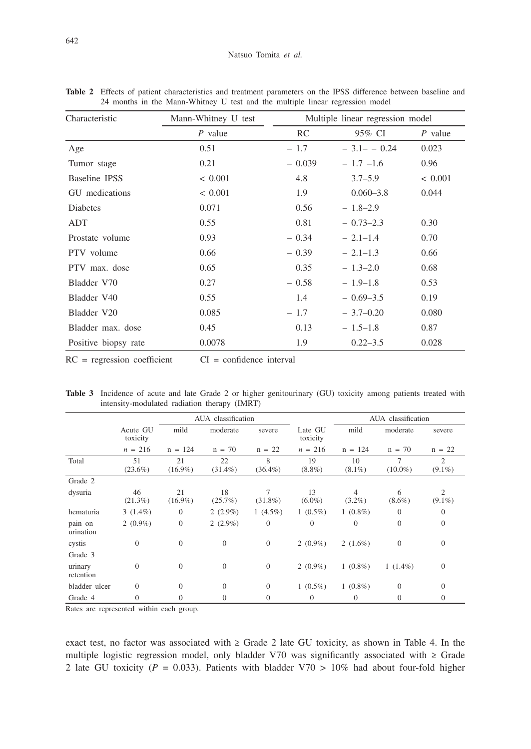| Characteristic       | Mann-Whitney U test | Multiple linear regression model |                |           |  |  |
|----------------------|---------------------|----------------------------------|----------------|-----------|--|--|
|                      | $P$ value           | RC                               | 95% CI         | $P$ value |  |  |
| Age                  | 0.51                | $-1.7$                           | $-3.1 - -0.24$ | 0.023     |  |  |
| Tumor stage          | 0.21                | $-0.039$                         | $-1.7 -1.6$    | 0.96      |  |  |
| Baseline IPSS        | < 0.001             | 4.8                              | $3.7 - 5.9$    | < 0.001   |  |  |
| GU medications       | < 0.001             | 1.9                              | $0.060 - 3.8$  | 0.044     |  |  |
| <b>Diabetes</b>      | 0.071               | 0.56                             | $-1.8-2.9$     |           |  |  |
| ADT                  | 0.55                | 0.81                             | $-0.73-2.3$    | 0.30      |  |  |
| Prostate volume      | 0.93                | $-0.34$                          | $-2.1-1.4$     | 0.70      |  |  |
| PTV volume           | 0.66                | $-0.39$                          | $-2.1-1.3$     | 0.66      |  |  |
| PTV max. dose        | 0.65                | 0.35                             | $-1.3-2.0$     | 0.68      |  |  |
| Bladder V70          | 0.27                | $-0.58$                          | $-1.9-1.8$     | 0.53      |  |  |
| Bladder V40          | 0.55                | 1.4                              | $-0.69 - 3.5$  | 0.19      |  |  |
| Bladder V20          | 0.085               | $-1.7$                           | $-3.7-0.20$    | 0.080     |  |  |
| Bladder max. dose    | 0.45                | 0.13                             | $-1.5-1.8$     | 0.87      |  |  |
| Positive biopsy rate | 0.0078              | 1.9                              | $0.22 - 3.5$   | 0.028     |  |  |

**Table 2** Effects of patient characteristics and treatment parameters on the IPSS difference between baseline and 24 months in the Mann-Whitney U test and the multiple linear regression model

 $RC = regression coefficient$   $CI = confidence interval$ 

|                      |                      |                  | AUA classification |                      |                     | AUA classification          |                 |                |  |
|----------------------|----------------------|------------------|--------------------|----------------------|---------------------|-----------------------------|-----------------|----------------|--|
|                      | Acute GU<br>toxicity | mild             | moderate           | severe               | Late GU<br>toxicity | mild                        | moderate        | severe         |  |
|                      | $n = 216$            | $n = 124$        | $n = 70$           | $n = 22$             | $n = 216$           | $n = 124$                   | $n = 70$        | $n = 22$       |  |
| Total                | 51<br>$(23.6\%)$     | 21<br>$(16.9\%)$ | 22<br>$(31.4\%)$   | 8<br>$(36.4\%)$      | 19<br>$(8.8\%)$     | 10<br>$(8.1\%)$             | 7<br>$(10.0\%)$ | 2<br>$(9.1\%)$ |  |
| Grade 2              |                      |                  |                    |                      |                     |                             |                 |                |  |
| dysuria              | 46<br>$(21.3\%)$     | 21<br>$(16.9\%)$ | 18<br>$(25.7\%)$   | $\tau$<br>$(31.8\%)$ | 13<br>$(6.0\%)$     | $\overline{4}$<br>$(3.2\%)$ | 6<br>$(8.6\%)$  | 2<br>$(9.1\%)$ |  |
| hematuria            | $3(1.4\%)$           | $\theta$         | $2(2.9\%)$         | 1 $(4.5\%)$          | $1(0.5\%)$          | $1(0.8\%)$                  | $\overline{0}$  | $\theta$       |  |
| pain on<br>urination | $2(0.9\%)$           | $\overline{0}$   | $2(2.9\%)$         | $\theta$             | $\theta$            | $\overline{0}$              | $\overline{0}$  | $\theta$       |  |
| cystis               | $\overline{0}$       | $\theta$         | $\theta$           | $\mathbf{0}$         | $2(0.9\%)$          | 2 $(1.6\%)$                 | $\theta$        | $\theta$       |  |
| Grade 3              |                      |                  |                    |                      |                     |                             |                 |                |  |
| urinary<br>retention | $\Omega$             | $\Omega$         | $\theta$           | $\theta$             | $2(0.9\%)$          | $1(0.8\%)$                  | $1(1.4\%)$      | $\theta$       |  |
| bladder ulcer        | $\Omega$             | $\Omega$         | $\theta$           | $\theta$             | $1(0.5\%)$          | $1(0.8\%)$                  | $\theta$        | $\overline{0}$ |  |
| Grade 4              | $\Omega$             | $\Omega$         | $\mathbf{0}$       | $\overline{0}$       | $\theta$            | $\theta$                    | $\theta$        | $\theta$       |  |

**Table 3** Incidence of acute and late Grade 2 or higher genitourinary (GU) toxicity among patients treated with intensity-modulated radiation therapy (IMRT)

Rates are represented within each group.

exact test, no factor was associated with  $\geq$  Grade 2 late GU toxicity, as shown in Table 4. In the multiple logistic regression model, only bladder V70 was significantly associated with  $\geq$  Grade 2 late GU toxicity ( $P = 0.033$ ). Patients with bladder V70 > 10% had about four-fold higher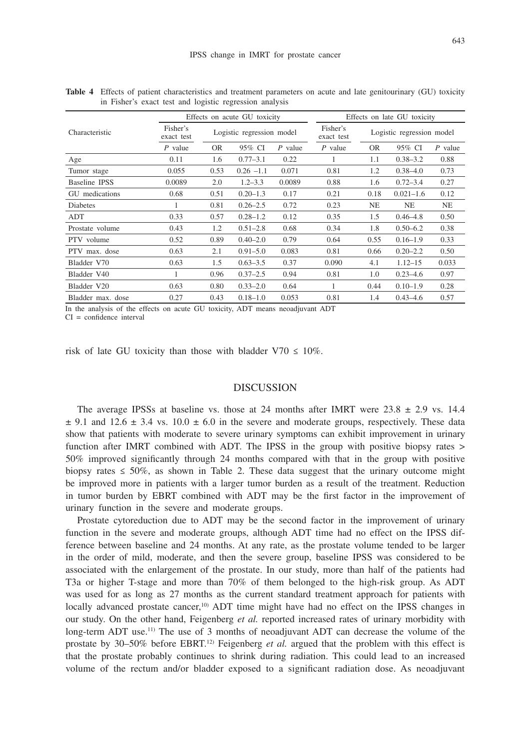|                   | Effects on acute GU toxicity |                           |              |                        | Effects on late GU toxicity |           |               |           |
|-------------------|------------------------------|---------------------------|--------------|------------------------|-----------------------------|-----------|---------------|-----------|
| Characteristic    | Fisher's<br>exact test       | Logistic regression model |              | Fisher's<br>exact test | Logistic regression model   |           |               |           |
|                   | $P$ value                    | <b>OR</b>                 | 95% CI       | $P$ value              | $P$ value                   | <b>OR</b> | 95% CI        | $P$ value |
| Age               | 0.11                         | 1.6                       | $0.77 - 3.1$ | 0.22                   | 1                           | 1.1       | $0.38 - 3.2$  | 0.88      |
| Tumor stage       | 0.055                        | 0.53                      | $0.26 -1.1$  | 0.071                  | 0.81                        | 1.2       | $0.38 - 4.0$  | 0.73      |
| Baseline IPSS     | 0.0089                       | 2.0                       | $1.2 - 3.3$  | 0.0089                 | 0.88                        | 1.6       | $0.72 - 3.4$  | 0.27      |
| GU medications    | 0.68                         | 0.51                      | $0.20 - 1.3$ | 0.17                   | 0.21                        | 0.18      | $0.021 - 1.6$ | 0.12      |
| Diabetes          |                              | 0.81                      | $0.26 - 2.5$ | 0.72                   | 0.23                        | <b>NE</b> | <b>NE</b>     | NE        |
| ADT               | 0.33                         | 0.57                      | $0.28 - 1.2$ | 0.12                   | 0.35                        | 1.5       | $0.46 - 4.8$  | 0.50      |
| Prostate volume   | 0.43                         | 1.2                       | $0.51 - 2.8$ | 0.68                   | 0.34                        | 1.8       | $0.50 - 6.2$  | 0.38      |
| PTV volume        | 0.52                         | 0.89                      | $0.40 - 2.0$ | 0.79                   | 0.64                        | 0.55      | $0.16 - 1.9$  | 0.33      |
| PTV max. dose     | 0.63                         | 2.1                       | $0.91 - 5.0$ | 0.083                  | 0.81                        | 0.66      | $0.20 - 2.2$  | 0.50      |
| Bladder V70       | 0.63                         | 1.5                       | $0.63 - 3.5$ | 0.37                   | 0.090                       | 4.1       | $1.12 - 15$   | 0.033     |
| Bladder V40       | 1                            | 0.96                      | $0.37 - 2.5$ | 0.94                   | 0.81                        | 1.0       | $0.23 - 4.6$  | 0.97      |
| Bladder V20       | 0.63                         | 0.80                      | $0.33 - 2.0$ | 0.64                   | 1                           | 0.44      | $0.10 - 1.9$  | 0.28      |
| Bladder max. dose | 0.27                         | 0.43                      | $0.18 - 1.0$ | 0.053                  | 0.81                        | 1.4       | $0.43 - 4.6$  | 0.57      |

**Table 4** Effects of patient characteristics and treatment parameters on acute and late genitourinary (GU) toxicity in Fisher's exact test and logistic regression analysis

In the analysis of the effects on acute GU toxicity, ADT means neoadjuvant ADT

CI = confidence interval

risk of late GU toxicity than those with bladder V70  $\leq$  10%.

#### DISCUSSION

The average IPSSs at baseline vs. those at 24 months after IMRT were  $23.8 \pm 2.9$  vs. 14.4  $\pm$  9.1 and 12.6  $\pm$  3.4 vs. 10.0  $\pm$  6.0 in the severe and moderate groups, respectively. These data show that patients with moderate to severe urinary symptoms can exhibit improvement in urinary function after IMRT combined with ADT. The IPSS in the group with positive biopsy rates > 50% improved significantly through 24 months compared with that in the group with positive biopsy rates  $\leq 50\%$ , as shown in Table 2. These data suggest that the urinary outcome might be improved more in patients with a larger tumor burden as a result of the treatment. Reduction in tumor burden by EBRT combined with ADT may be the first factor in the improvement of urinary function in the severe and moderate groups.

Prostate cytoreduction due to ADT may be the second factor in the improvement of urinary function in the severe and moderate groups, although ADT time had no effect on the IPSS difference between baseline and 24 months. At any rate, as the prostate volume tended to be larger in the order of mild, moderate, and then the severe group, baseline IPSS was considered to be associated with the enlargement of the prostate. In our study, more than half of the patients had T3a or higher T-stage and more than 70% of them belonged to the high-risk group. As ADT was used for as long as 27 months as the current standard treatment approach for patients with locally advanced prostate cancer,<sup>10)</sup> ADT time might have had no effect on the IPSS changes in our study. On the other hand, Feigenberg *et al.* reported increased rates of urinary morbidity with long-term ADT use.<sup>11)</sup> The use of 3 months of neoadjuvant ADT can decrease the volume of the prostate by 30–50% before EBRT.12) Feigenberg *et al.* argued that the problem with this effect is that the prostate probably continues to shrink during radiation. This could lead to an increased volume of the rectum and/or bladder exposed to a significant radiation dose. As neoadjuvant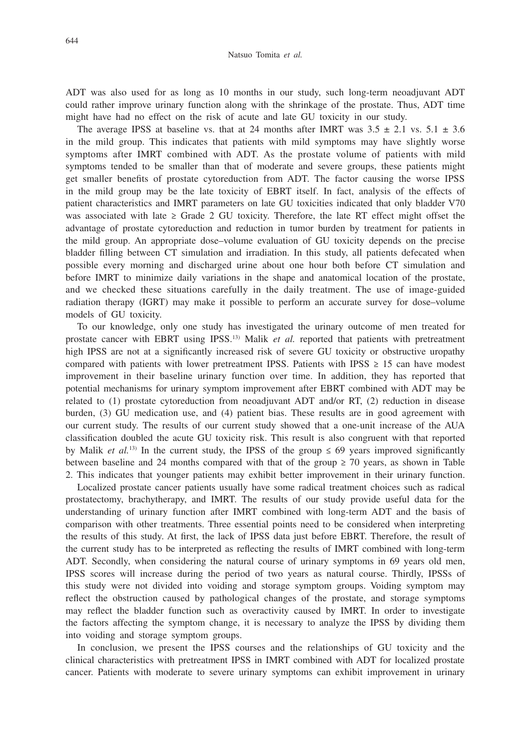ADT was also used for as long as 10 months in our study, such long-term neoadjuvant ADT could rather improve urinary function along with the shrinkage of the prostate. Thus, ADT time might have had no effect on the risk of acute and late GU toxicity in our study.

The average IPSS at baseline vs. that at 24 months after IMRT was  $3.5 \pm 2.1$  vs.  $5.1 \pm 3.6$ in the mild group. This indicates that patients with mild symptoms may have slightly worse symptoms after IMRT combined with ADT. As the prostate volume of patients with mild symptoms tended to be smaller than that of moderate and severe groups, these patients might get smaller benefits of prostate cytoreduction from ADT. The factor causing the worse IPSS in the mild group may be the late toxicity of EBRT itself. In fact, analysis of the effects of patient characteristics and IMRT parameters on late GU toxicities indicated that only bladder V70 was associated with late  $\geq$  Grade 2 GU toxicity. Therefore, the late RT effect might offset the advantage of prostate cytoreduction and reduction in tumor burden by treatment for patients in the mild group. An appropriate dose–volume evaluation of GU toxicity depends on the precise bladder filling between CT simulation and irradiation. In this study, all patients defecated when possible every morning and discharged urine about one hour both before CT simulation and before IMRT to minimize daily variations in the shape and anatomical location of the prostate, and we checked these situations carefully in the daily treatment. The use of image-guided radiation therapy (IGRT) may make it possible to perform an accurate survey for dose–volume models of GU toxicity.

To our knowledge, only one study has investigated the urinary outcome of men treated for prostate cancer with EBRT using IPSS.13) Malik *et al.* reported that patients with pretreatment high IPSS are not at a significantly increased risk of severe GU toxicity or obstructive uropathy compared with patients with lower pretreatment IPSS. Patients with IPSS  $\geq 15$  can have modest improvement in their baseline urinary function over time. In addition, they has reported that potential mechanisms for urinary symptom improvement after EBRT combined with ADT may be related to (1) prostate cytoreduction from neoadjuvant ADT and/or RT, (2) reduction in disease burden, (3) GU medication use, and (4) patient bias. These results are in good agreement with our current study. The results of our current study showed that a one-unit increase of the AUA classification doubled the acute GU toxicity risk. This result is also congruent with that reported by Malik *et al.*<sup>13)</sup> In the current study, the IPSS of the group  $\leq 69$  years improved significantly between baseline and 24 months compared with that of the group  $\geq$  70 years, as shown in Table 2. This indicates that younger patients may exhibit better improvement in their urinary function.

Localized prostate cancer patients usually have some radical treatment choices such as radical prostatectomy, brachytherapy, and IMRT. The results of our study provide useful data for the understanding of urinary function after IMRT combined with long-term ADT and the basis of comparison with other treatments. Three essential points need to be considered when interpreting the results of this study. At first, the lack of IPSS data just before EBRT. Therefore, the result of the current study has to be interpreted as reflecting the results of IMRT combined with long-term ADT. Secondly, when considering the natural course of urinary symptoms in 69 years old men, IPSS scores will increase during the period of two years as natural course. Thirdly, IPSSs of this study were not divided into voiding and storage symptom groups. Voiding symptom may reflect the obstruction caused by pathological changes of the prostate, and storage symptoms may reflect the bladder function such as overactivity caused by IMRT. In order to investigate the factors affecting the symptom change, it is necessary to analyze the IPSS by dividing them into voiding and storage symptom groups.

In conclusion, we present the IPSS courses and the relationships of GU toxicity and the clinical characteristics with pretreatment IPSS in IMRT combined with ADT for localized prostate cancer. Patients with moderate to severe urinary symptoms can exhibit improvement in urinary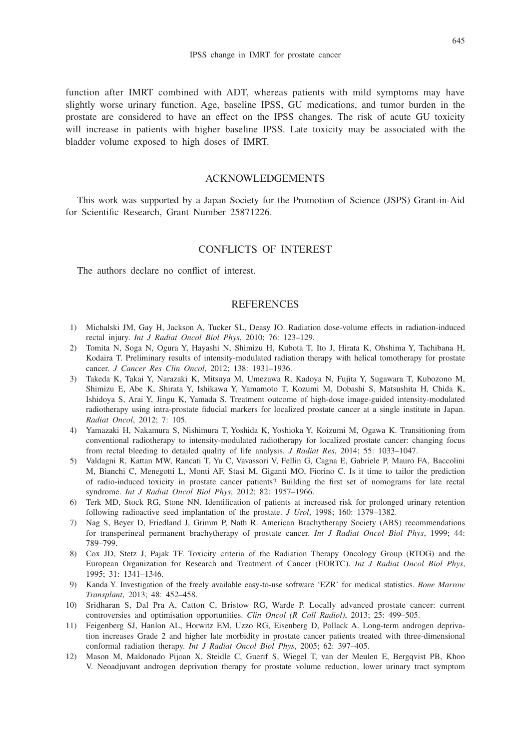function after IMRT combined with ADT, whereas patients with mild symptoms may have slightly worse urinary function. Age, baseline IPSS, GU medications, and tumor burden in the prostate are considered to have an effect on the IPSS changes. The risk of acute GU toxicity will increase in patients with higher baseline IPSS. Late toxicity may be associated with the bladder volume exposed to high doses of IMRT.

# ACKNOWLEDGEMENTS

This work was supported by a Japan Society for the Promotion of Science (JSPS) Grant-in-Aid for Scientific Research, Grant Number 25871226.

# CONFLICTS OF INTEREST

The authors declare no conflict of interest.

# **REFERENCES**

- 1) Michalski JM, Gay H, Jackson A, Tucker SL, Deasy JO. Radiation dose-volume effects in radiation-induced rectal injury. *Int J Radiat Oncol Biol Phys*, 2010; 76: 123–129.
- 2) Tomita N, Soga N, Ogura Y, Hayashi N, Shimizu H, Kubota T, Ito J, Hirata K, Ohshima Y, Tachibana H, Kodaira T. Preliminary results of intensity-modulated radiation therapy with helical tomotherapy for prostate cancer. *J Cancer Res Clin Oncol*, 2012; 138: 1931–1936.
- 3) Takeda K, Takai Y, Narazaki K, Mitsuya M, Umezawa R, Kadoya N, Fujita Y, Sugawara T, Kubozono M, Shimizu E, Abe K, Shirata Y, Ishikawa Y, Yamamoto T, Kozumi M, Dobashi S, Matsushita H, Chida K, Ishidoya S, Arai Y, Jingu K, Yamada S. Treatment outcome of high-dose image-guided intensity-modulated radiotherapy using intra-prostate fiducial markers for localized prostate cancer at a single institute in Japan. *Radiat Oncol*, 2012; 7: 105.
- 4) Yamazaki H, Nakamura S, Nishimura T, Yoshida K, Yoshioka Y, Koizumi M, Ogawa K. Transitioning from conventional radiotherapy to intensity-modulated radiotherapy for localized prostate cancer: changing focus from rectal bleeding to detailed quality of life analysis. *J Radiat Res*, 2014; 55: 1033–1047.
- 5) Valdagni R, Kattan MW, Rancati T, Yu C, Vavassori V, Fellin G, Cagna E, Gabriele P, Mauro FA, Baccolini M, Bianchi C, Menegotti L, Monti AF, Stasi M, Giganti MO, Fiorino C. Is it time to tailor the prediction of radio-induced toxicity in prostate cancer patients? Building the first set of nomograms for late rectal syndrome. *Int J Radiat Oncol Biol Phys*, 2012; 82: 1957–1966.
- 6) Terk MD, Stock RG, Stone NN. Identification of patients at increased risk for prolonged urinary retention following radioactive seed implantation of the prostate. *J Urol*, 1998; 160: 1379–1382.
- 7) Nag S, Beyer D, Friedland J, Grimm P, Nath R. American Brachytherapy Society (ABS) recommendations for transperineal permanent brachytherapy of prostate cancer. *Int J Radiat Oncol Biol Phys*, 1999; 44: 789–799.
- 8) Cox JD, Stetz J, Pajak TF. Toxicity criteria of the Radiation Therapy Oncology Group (RTOG) and the European Organization for Research and Treatment of Cancer (EORTC). *Int J Radiat Oncol Biol Phys*, 1995; 31: 1341–1346.
- 9) Kanda Y. Investigation of the freely available easy-to-use software 'EZR' for medical statistics. *Bone Marrow Transplant*, 2013; 48: 452–458.
- 10) Sridharan S, Dal Pra A, Catton C, Bristow RG, Warde P. Locally advanced prostate cancer: current controversies and optimisation opportunities. *Clin Oncol (R Coll Radiol)*, 2013; 25: 499–505.
- 11) Feigenberg SJ, Hanlon AL, Horwitz EM, Uzzo RG, Eisenberg D, Pollack A. Long-term androgen deprivation increases Grade 2 and higher late morbidity in prostate cancer patients treated with three-dimensional conformal radiation therapy. *Int J Radiat Oncol Biol Phys*, 2005; 62: 397–405.
- 12) Mason M, Maldonado Pijoan X, Steidle C, Guerif S, Wiegel T, van der Meulen E, Bergqvist PB, Khoo V. Neoadjuvant androgen deprivation therapy for prostate volume reduction, lower urinary tract symptom